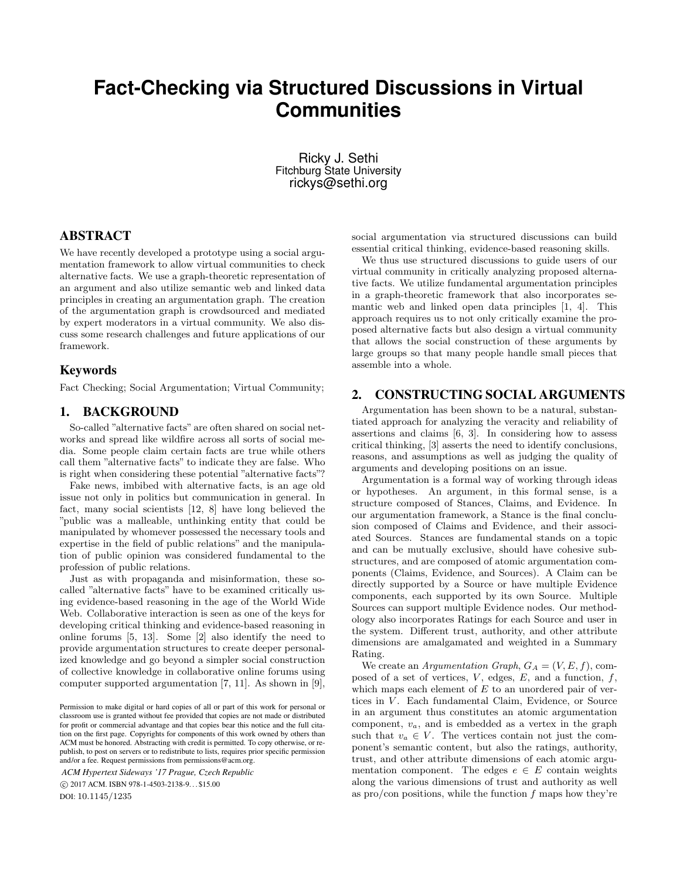# **Fact-Checking via Structured Discussions in Virtual Communities**

Ricky J. Sethi Fitchburg State University rickys@sethi.org

### ABSTRACT

We have recently developed a prototype using a social argumentation framework to allow virtual communities to check alternative facts. We use a graph-theoretic representation of an argument and also utilize semantic web and linked data principles in creating an argumentation graph. The creation of the argumentation graph is crowdsourced and mediated by expert moderators in a virtual community. We also discuss some research challenges and future applications of our framework.

#### Keywords

Fact Checking; Social Argumentation; Virtual Community;

#### 1. BACKGROUND

So-called "alternative facts" are often shared on social networks and spread like wildfire across all sorts of social media. Some people claim certain facts are true while others call them "alternative facts" to indicate they are false. Who is right when considering these potential "alternative facts"?

Fake news, imbibed with alternative facts, is an age old issue not only in politics but communication in general. In fact, many social scientists [12, 8] have long believed the "public was a malleable, unthinking entity that could be manipulated by whomever possessed the necessary tools and expertise in the field of public relations" and the manipulation of public opinion was considered fundamental to the profession of public relations.

Just as with propaganda and misinformation, these socalled "alternative facts" have to be examined critically using evidence-based reasoning in the age of the World Wide Web. Collaborative interaction is seen as one of the keys for developing critical thinking and evidence-based reasoning in online forums [5, 13]. Some [2] also identify the need to provide argumentation structures to create deeper personalized knowledge and go beyond a simpler social construction of collective knowledge in collaborative online forums using computer supported argumentation [7, 11]. As shown in [9],

*ACM Hypertext Sideways '17 Prague, Czech Republic* c 2017 ACM. ISBN 978-1-4503-2138-9. . . \$15.00 DOI: 10.1145/1235

social argumentation via structured discussions can build essential critical thinking, evidence-based reasoning skills.

We thus use structured discussions to guide users of our virtual community in critically analyzing proposed alternative facts. We utilize fundamental argumentation principles in a graph-theoretic framework that also incorporates semantic web and linked open data principles [1, 4]. This approach requires us to not only critically examine the proposed alternative facts but also design a virtual community that allows the social construction of these arguments by large groups so that many people handle small pieces that assemble into a whole.

### 2. CONSTRUCTING SOCIAL ARGUMENTS

Argumentation has been shown to be a natural, substantiated approach for analyzing the veracity and reliability of assertions and claims [6, 3]. In considering how to assess critical thinking, [3] asserts the need to identify conclusions, reasons, and assumptions as well as judging the quality of arguments and developing positions on an issue.

Argumentation is a formal way of working through ideas or hypotheses. An argument, in this formal sense, is a structure composed of Stances, Claims, and Evidence. In our argumentation framework, a Stance is the final conclusion composed of Claims and Evidence, and their associated Sources. Stances are fundamental stands on a topic and can be mutually exclusive, should have cohesive substructures, and are composed of atomic argumentation components (Claims, Evidence, and Sources). A Claim can be directly supported by a Source or have multiple Evidence components, each supported by its own Source. Multiple Sources can support multiple Evidence nodes. Our methodology also incorporates Ratings for each Source and user in the system. Different trust, authority, and other attribute dimensions are amalgamated and weighted in a Summary Rating.

We create an Argumentation Graph,  $G_A = (V, E, f)$ , composed of a set of vertices,  $V$ , edges,  $E$ , and a function,  $f$ , which maps each element of  $E$  to an unordered pair of vertices in V. Each fundamental Claim, Evidence, or Source in an argument thus constitutes an atomic argumentation component,  $v_a$ , and is embedded as a vertex in the graph such that  $v_a \in V$ . The vertices contain not just the component's semantic content, but also the ratings, authority, trust, and other attribute dimensions of each atomic argumentation component. The edges  $e \in E$  contain weights along the various dimensions of trust and authority as well as pro/con positions, while the function  $f$  maps how they're

Permission to make digital or hard copies of all or part of this work for personal or classroom use is granted without fee provided that copies are not made or distributed for profit or commercial advantage and that copies bear this notice and the full citation on the first page. Copyrights for components of this work owned by others than ACM must be honored. Abstracting with credit is permitted. To copy otherwise, or republish, to post on servers or to redistribute to lists, requires prior specific permission and/or a fee. Request permissions from permissions@acm.org.